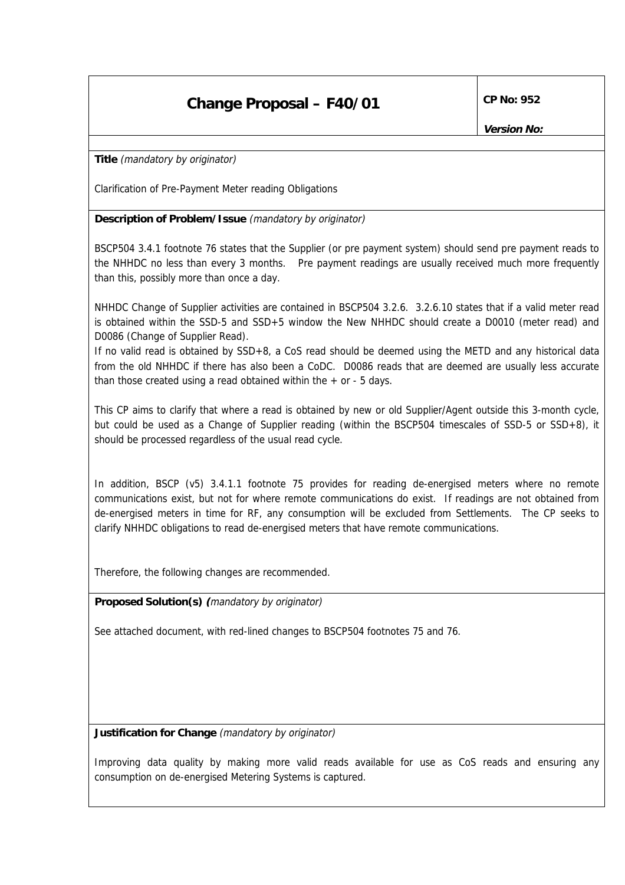## **Change Proposal – F40/01** CP No: 952

**Version No:**

**Title** (mandatory by originator)

Clarification of Pre-Payment Meter reading Obligations

**Description of Problem/Issue** (mandatory by originator)

BSCP504 3.4.1 footnote 76 states that the Supplier (or pre payment system) should send pre payment reads to the NHHDC no less than every 3 months. Pre payment readings are usually received much more frequently than this, possibly more than once a day.

NHHDC Change of Supplier activities are contained in BSCP504 3.2.6. 3.2.6.10 states that if a valid meter read is obtained within the SSD-5 and SSD+5 window the New NHHDC should create a D0010 (meter read) and D0086 (Change of Supplier Read).

If no valid read is obtained by SSD+8, a CoS read should be deemed using the METD and any historical data from the old NHHDC if there has also been a CoDC. D0086 reads that are deemed are usually less accurate than those created using a read obtained within the  $+$  or  $-$  5 days.

This CP aims to clarify that where a read is obtained by new or old Supplier/Agent outside this 3-month cycle, but could be used as a Change of Supplier reading (within the BSCP504 timescales of SSD-5 or SSD+8), it should be processed regardless of the usual read cycle.

In addition, BSCP (v5) 3.4.1.1 footnote 75 provides for reading de-energised meters where no remote communications exist, but not for where remote communications do exist. If readings are not obtained from de-energised meters in time for RF, any consumption will be excluded from Settlements. The CP seeks to clarify NHHDC obligations to read de-energised meters that have remote communications.

Therefore, the following changes are recommended.

**Proposed Solution(s) (**mandatory by originator)

See attached document, with red-lined changes to BSCP504 footnotes 75 and 76.

**Justification for Change** (mandatory by originator)

Improving data quality by making more valid reads available for use as CoS reads and ensuring any consumption on de-energised Metering Systems is captured.